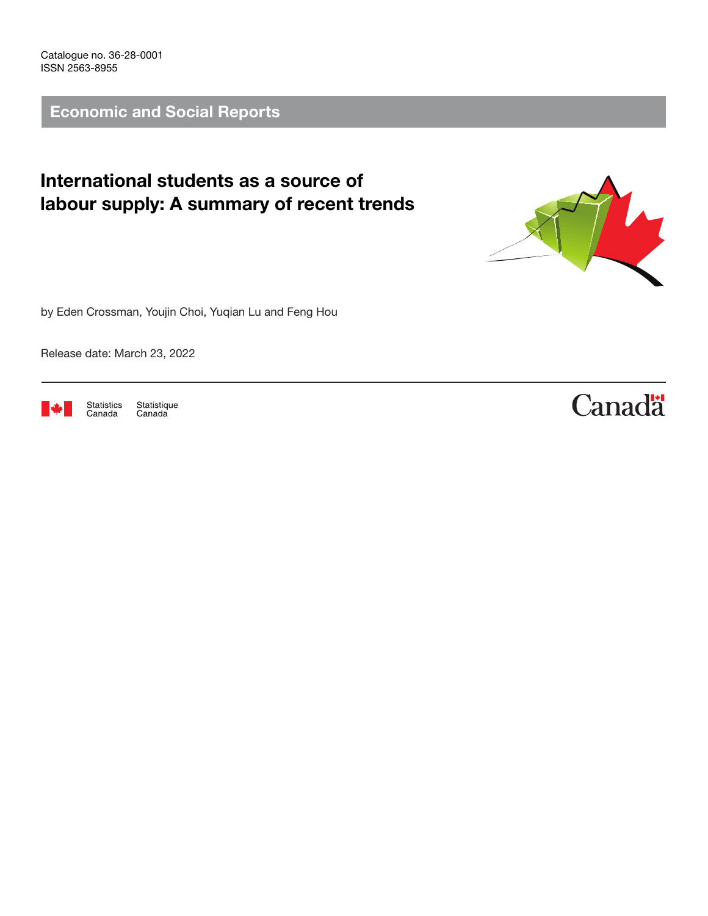Catalogue no. 36-28-0001 ISSN 2563-8955

Economic and Social Reports

## International students as a source of labour supply: A summary of recent trends



by Eden Crossman, Youjin Choi, Yuqian Lu and Feng Hou

Release date: March 23, 2022



Statistics<br>Canada Statistique<br>Canada

# **Canadä**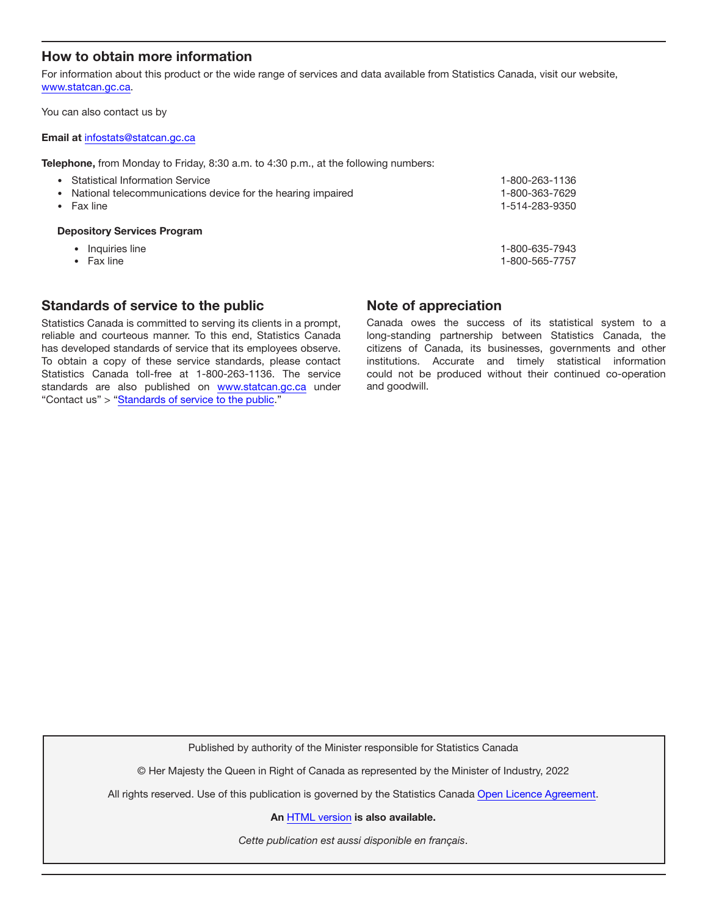#### How to obtain more information

For information about this product or the wide range of services and data available from Statistics Canada, visit our website, [www.statcan.gc.ca.](https://www.statcan.gc.ca)

You can also contact us by

#### Email at [infostats@statcan.gc.ca](mailto:infostats%40statcan.gc.ca?subject=)

Telephone, from Monday to Friday, 8:30 a.m. to 4:30 p.m., at the following numbers:

| $\bullet$ Fax line<br><b>Depository Services Program</b>                                           | 1-514-283-9350 |
|----------------------------------------------------------------------------------------------------|----------------|
| • Statistical Information Service<br>• National telecommunications device for the hearing impaired | 1-800-363-7629 |
|                                                                                                    | 1-800-263-1136 |

- Inquiries line 1-800-635-7943
- 

• Fax line 1-800-565-7757

#### Standards of service to the public

Statistics Canada is committed to serving its clients in a prompt, reliable and courteous manner. To this end, Statistics Canada has developed standards of service that its employees observe. To obtain a copy of these service standards, please contact Statistics Canada toll-free at 1-800-263-1136. The service standards are also published on [www.statcan.gc.ca](https://www.statcan.gc.ca) under "Contact us" > "[Standards of service to the public](https://www.statcan.gc.ca/eng/about/service/standards)."

#### Note of appreciation

Canada owes the success of its statistical system to a long-standing partnership between Statistics Canada, the citizens of Canada, its businesses, governments and other institutions. Accurate and timely statistical information could not be produced without their continued co-operation and goodwill.

Published by authority of the Minister responsible for Statistics Canada

© Her Majesty the Queen in Right of Canada as represented by the Minister of Industry, 2022

All rights reserved. Use of this publication is governed by the Statistics Canada [Open Licence Agreement](https://www.statcan.gc.ca/eng/reference/licence).

An [HTML version](https://www150.statcan.gc.ca/n1/pub/36-28-0001/2022003/article/00001-eng.htm) is also available.

*Cette publication est aussi disponible en français*.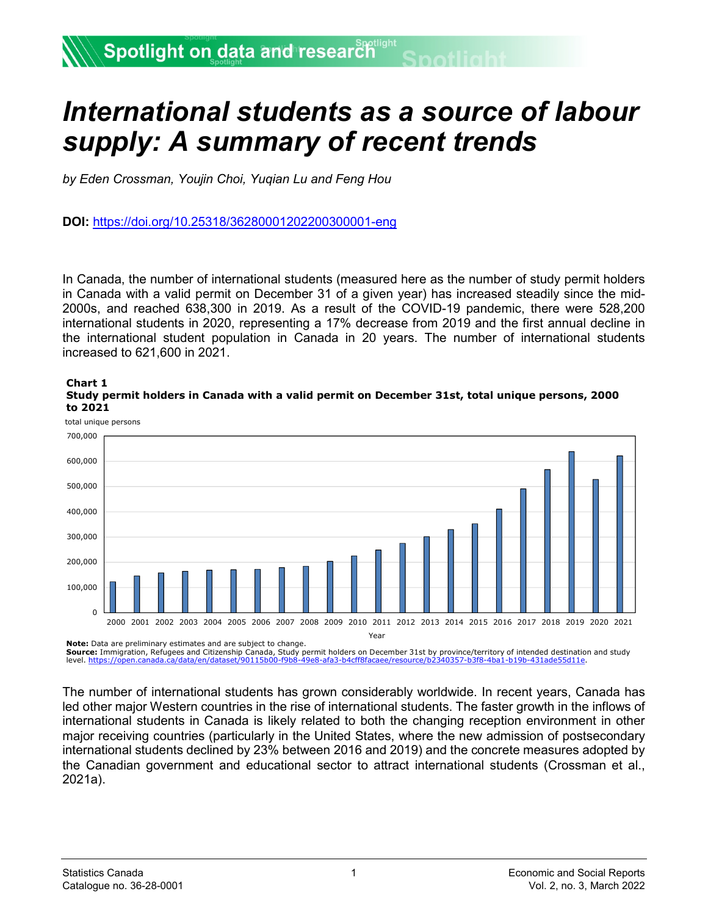## *International students as a source of labour supply: A summary of recent trends*

*by Eden Crossman, Youjin Choi, Yuqian Lu and Feng Hou* 

**DOI:** https://doi.org/10.25318/36280001202200300001-eng

In Canada, the number of international students (measured here as the number of study permit holders in Canada with a valid permit on December 31 of a given year) has increased steadily since the mid-2000s, and reached 638,300 in 2019. As a result of the COVID-19 pandemic, there were 528,200 international students in 2020, representing a 17% decrease from 2019 and the first annual decline in the international student population in Canada in 20 years. The number of international students increased to 621,600 in 2021.





**Source:** Immigration, Refugees and Citizenship Canada, Study permit holders on December 31st by province/territory of intended destination and study level. https://open.canada.ca/data/en/dataset/90115b00-f9b8-49e8-afa3-b4cff8facaee/resource/b2340357-b3f8-4ba1-b19b-431ade

The number of international students has grown considerably worldwide. In recent years, Canada has led other major Western countries in the rise of international students. The faster growth in the inflows of international students in Canada is likely related to both the changing reception environment in other major receiving countries (particularly in the United States, where the new admission of postsecondary international students declined by 23% between 2016 and 2019) and the concrete measures adopted by the Canadian government and educational sector to attract international students (Crossman et al., 2021a).

total unique persons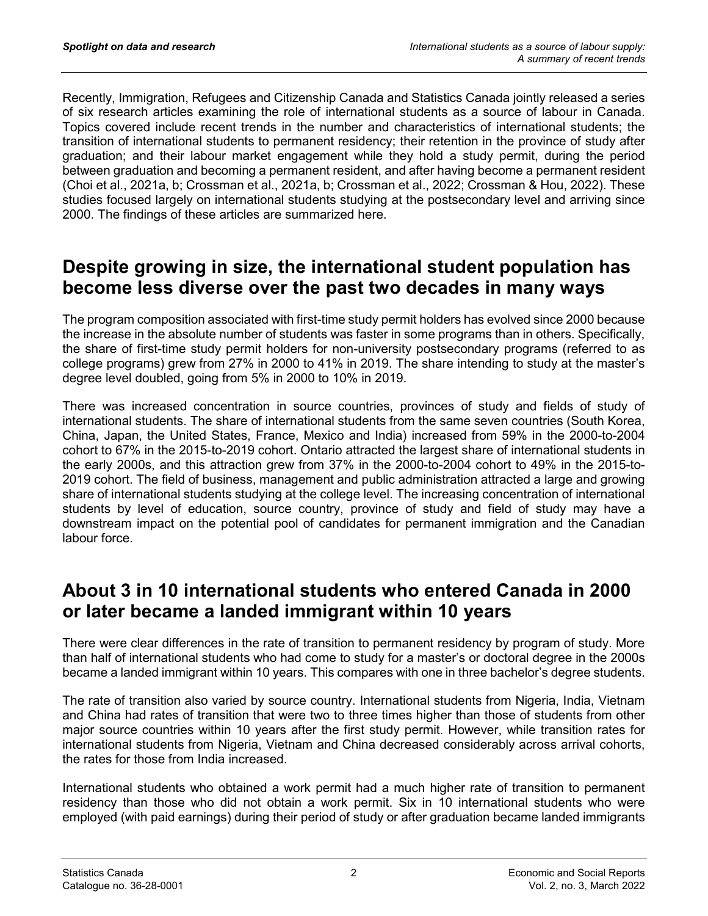Recently, Immigration, Refugees and Citizenship Canada and Statistics Canada jointly released a series of six research articles examining the role of international students as a source of labour in Canada. Topics covered include recent trends in the number and characteristics of international students; the transition of international students to permanent residency; their retention in the province of study after graduation; and their labour market engagement while they hold a study permit, during the period between graduation and becoming a permanent resident, and after having become a permanent resident (Choi et al., 2021a, b; Crossman et al., 2021a, b; Crossman et al., 2022; Crossman & Hou, 2022). These studies focused largely on international students studying at the postsecondary level and arriving since 2000. The findings of these articles are summarized here.

### **Despite growing in size, the international student population has become less diverse over the past two decades in many ways**

The program composition associated with first-time study permit holders has evolved since 2000 because the increase in the absolute number of students was faster in some programs than in others. Specifically, the share of first-time study permit holders for non-university postsecondary programs (referred to as college programs) grew from 27% in 2000 to 41% in 2019. The share intending to study at the master's degree level doubled, going from 5% in 2000 to 10% in 2019.

There was increased concentration in source countries, provinces of study and fields of study of international students. The share of international students from the same seven countries (South Korea, China, Japan, the United States, France, Mexico and India) increased from 59% in the 2000-to-2004 cohort to 67% in the 2015-to-2019 cohort. Ontario attracted the largest share of international students in the early 2000s, and this attraction grew from 37% in the 2000-to-2004 cohort to 49% in the 2015-to-2019 cohort. The field of business, management and public administration attracted a large and growing share of international students studying at the college level. The increasing concentration of international students by level of education, source country, province of study and field of study may have a downstream impact on the potential pool of candidates for permanent immigration and the Canadian labour force.

### **About 3 in 10 international students who entered Canada in 2000 or later became a landed immigrant within 10 years**

There were clear differences in the rate of transition to permanent residency by program of study. More than half of international students who had come to study for a master's or doctoral degree in the 2000s became a landed immigrant within 10 years. This compares with one in three bachelor's degree students.

The rate of transition also varied by source country. International students from Nigeria, India, Vietnam and China had rates of transition that were two to three times higher than those of students from other major source countries within 10 years after the first study permit. However, while transition rates for international students from Nigeria, Vietnam and China decreased considerably across arrival cohorts, the rates for those from India increased.

International students who obtained a work permit had a much higher rate of transition to permanent residency than those who did not obtain a work permit. Six in 10 international students who were employed (with paid earnings) during their period of study or after graduation became landed immigrants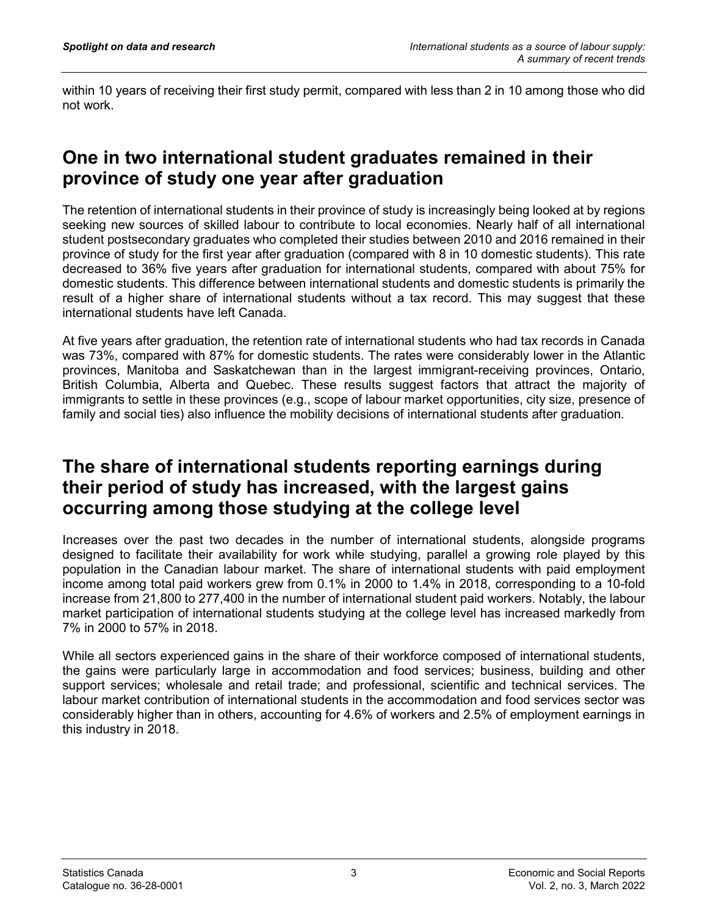within 10 years of receiving their first study permit, compared with less than 2 in 10 among those who did not work.

### **One in two international student graduates remained in their province of study one year after graduation**

The retention of international students in their province of study is increasingly being looked at by regions seeking new sources of skilled labour to contribute to local economies. Nearly half of all international student postsecondary graduates who completed their studies between 2010 and 2016 remained in their province of study for the first year after graduation (compared with 8 in 10 domestic students). This rate decreased to 36% five years after graduation for international students, compared with about 75% for domestic students. This difference between international students and domestic students is primarily the result of a higher share of international students without a tax record. This may suggest that these international students have left Canada.

At five years after graduation, the retention rate of international students who had tax records in Canada was 73%, compared with 87% for domestic students. The rates were considerably lower in the Atlantic provinces, Manitoba and Saskatchewan than in the largest immigrant-receiving provinces, Ontario, British Columbia, Alberta and Quebec. These results suggest factors that attract the majority of immigrants to settle in these provinces (e.g., scope of labour market opportunities, city size, presence of family and social ties) also influence the mobility decisions of international students after graduation.

#### **The share of international students reporting earnings during their period of study has increased, with the largest gains occurring among those studying at the college level**

Increases over the past two decades in the number of international students, alongside programs designed to facilitate their availability for work while studying, parallel a growing role played by this population in the Canadian labour market. The share of international students with paid employment income among total paid workers grew from 0.1% in 2000 to 1.4% in 2018, corresponding to a 10-fold increase from 21,800 to 277,400 in the number of international student paid workers. Notably, the labour market participation of international students studying at the college level has increased markedly from 7% in 2000 to 57% in 2018.

While all sectors experienced gains in the share of their workforce composed of international students, the gains were particularly large in accommodation and food services; business, building and other support services; wholesale and retail trade; and professional, scientific and technical services. The labour market contribution of international students in the accommodation and food services sector was considerably higher than in others, accounting for 4.6% of workers and 2.5% of employment earnings in this industry in 2018.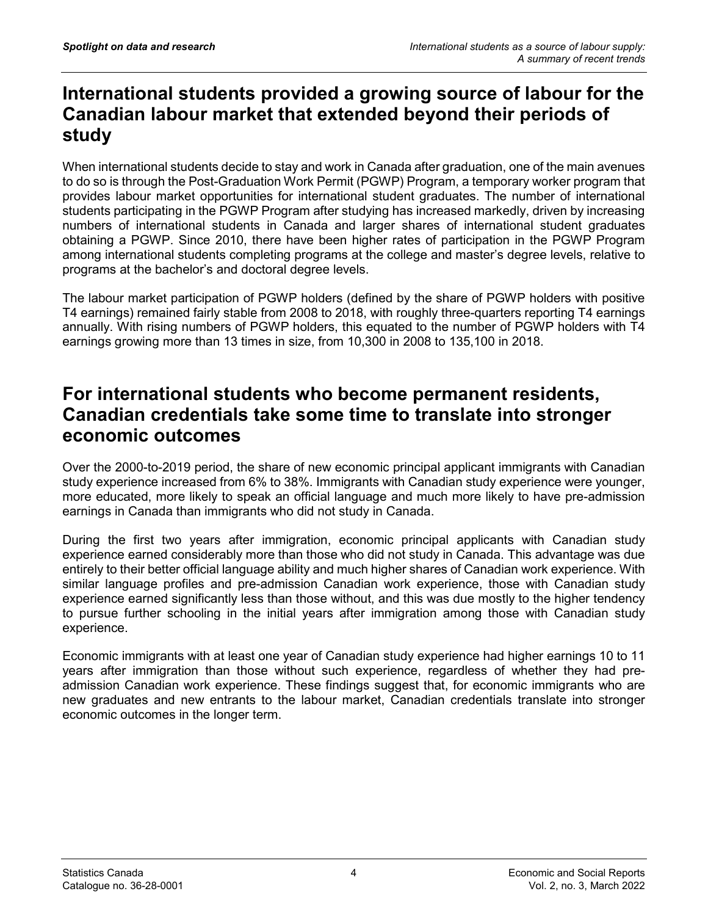#### **International students provided a growing source of labour for the Canadian labour market that extended beyond their periods of study**

When international students decide to stay and work in Canada after graduation, one of the main avenues to do so is through the Post-Graduation Work Permit (PGWP) Program, a temporary worker program that provides labour market opportunities for international student graduates. The number of international students participating in the PGWP Program after studying has increased markedly, driven by increasing numbers of international students in Canada and larger shares of international student graduates obtaining a PGWP. Since 2010, there have been higher rates of participation in the PGWP Program among international students completing programs at the college and master's degree levels, relative to programs at the bachelor's and doctoral degree levels.

The labour market participation of PGWP holders (defined by the share of PGWP holders with positive T4 earnings) remained fairly stable from 2008 to 2018, with roughly three-quarters reporting T4 earnings annually. With rising numbers of PGWP holders, this equated to the number of PGWP holders with T4 earnings growing more than 13 times in size, from 10,300 in 2008 to 135,100 in 2018.

### **For international students who become permanent residents, Canadian credentials take some time to translate into stronger economic outcomes**

Over the 2000-to-2019 period, the share of new economic principal applicant immigrants with Canadian study experience increased from 6% to 38%. Immigrants with Canadian study experience were younger, more educated, more likely to speak an official language and much more likely to have pre-admission earnings in Canada than immigrants who did not study in Canada.

During the first two years after immigration, economic principal applicants with Canadian study experience earned considerably more than those who did not study in Canada. This advantage was due entirely to their better official language ability and much higher shares of Canadian work experience. With similar language profiles and pre-admission Canadian work experience, those with Canadian study experience earned significantly less than those without, and this was due mostly to the higher tendency to pursue further schooling in the initial years after immigration among those with Canadian study experience.

Economic immigrants with at least one year of Canadian study experience had higher earnings 10 to 11 years after immigration than those without such experience, regardless of whether they had preadmission Canadian work experience. These findings suggest that, for economic immigrants who are new graduates and new entrants to the labour market, Canadian credentials translate into stronger economic outcomes in the longer term.